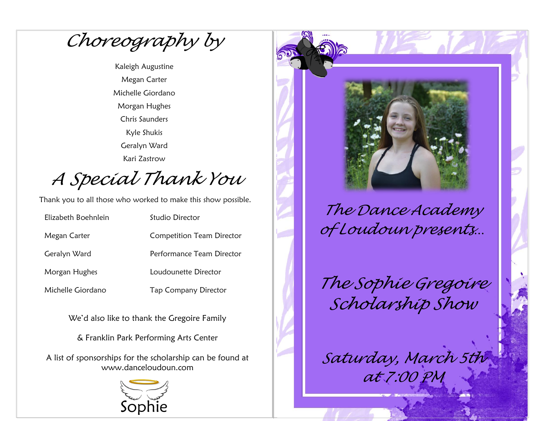*Choreography by*

Kaleigh Augustine Megan Carter Michelle Giordano Morgan Hughes Chris Saunders Kyle Shukis Geralyn Ward Kari Zastrow

*A Special Thank You*

Thank you to all those who worked to make this show possible.

| Elizabeth Boehnlein | Studio Director                  |
|---------------------|----------------------------------|
| Megan Carter        | <b>Competition Team Director</b> |
| Geralyn Ward        | Performance Team Director        |
| Morgan Hughes       | Loudounette Director             |
| Michelle Giordano   | <b>Tap Company Director</b>      |

We'd also like to thank the Gregoire Family

& Franklin Park Performing Arts Center

A list of sponsorships for the scholarship can be found at www.danceloudoun.com





*The Dance Academy of Loudoun presents…*

*The Sophie Gregoire Scholarship Show*

*Saturday, March 5th* 

*at 7:00 PM*